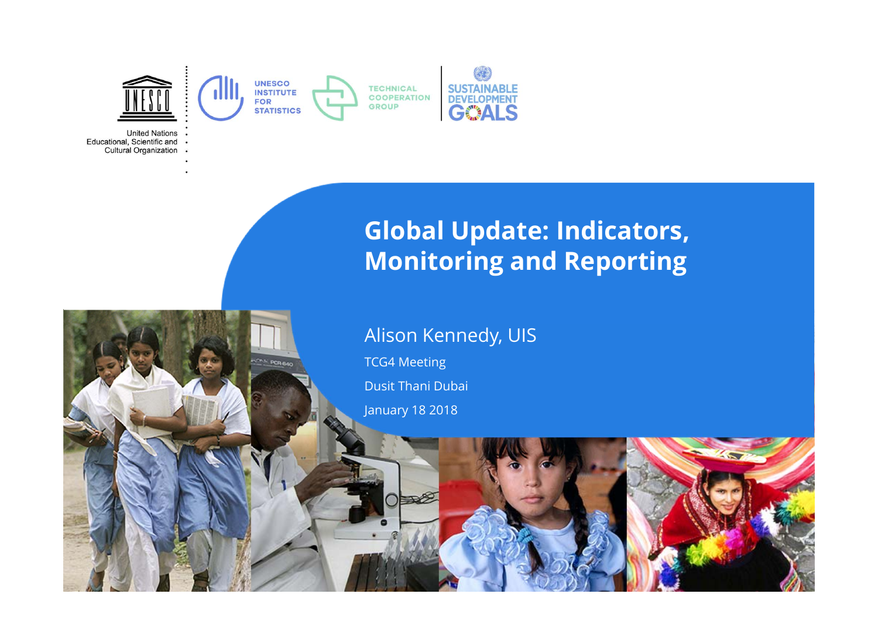

**United Nations** Educational, Scientific and . **Cultural Organization** 

#### **Global Update: Indicators, Monitoring and Reporting**

#### Alison Kennedy, UIS

TCG4 Meeting Dusit Thani Dubai

January 18 2018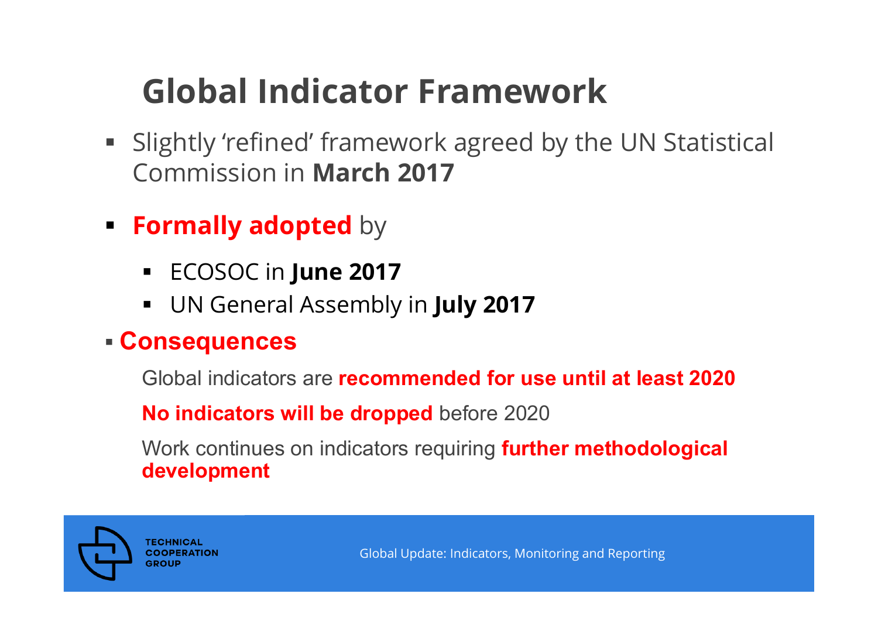### **Global Indicator Framework**

- Slightly 'refined' framework agreed by the UN Statistical Commission in **March 2017**
- **Formally adopted** by
	- ECOSOC in **June 2017**
	- $\blacksquare$ UN General Assembly in **July 2017**

#### **Consequences**

Global indicators are **recommended for use until at least 2020**

**No indicators will be dropped** before 2020

Work continues on indicators requiring **further methodological development**



**TECHNICAL COOPERATION** GROL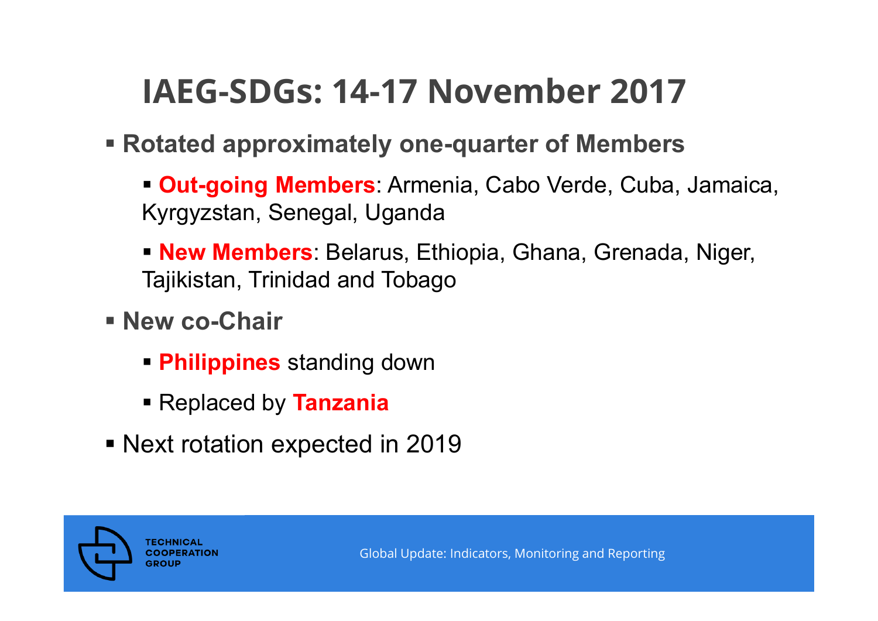### **IAEG-SDGs: 14-17 November 2017**

- **Rotated approximately one-quarter of Members**
	- **Out-going Members**: Armenia, Cabo Verde, Cuba, Jamaica, Kyrgyzstan, Senegal, Uganda
	- **New Members**: Belarus, Ethiopia, Ghana, Grenada, Niger, Tajikistan, Trinidad and Tobago
- **New co-Chair** 
	- **Philippines** standing down
	- Replaced by **Tanzania**
- Next rotation expected in 2019

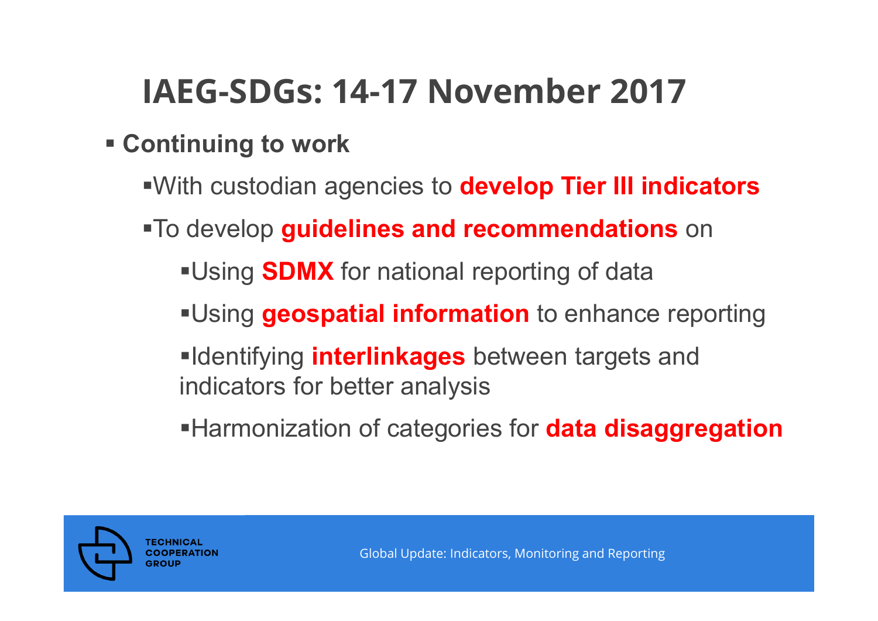### **IAEG-SDGs: 14-17 November 2017**

#### **Continuing to work**

- With custodian agencies to **develop Tier III indicators**
- To develop **guidelines and recommendations** on
	- **Using SDMX** for national reporting of data
	- Using **geospatial information** to enhance reporting
	- **Identifying interlinkages** between targets and indicators for better analysis
	- **Harmonization of categories for data disaggregation**

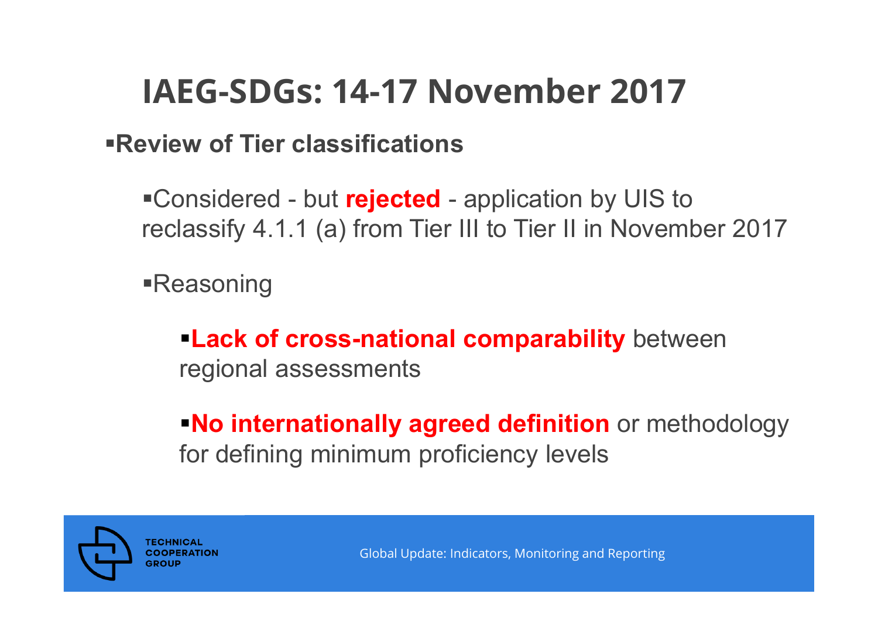### **IAEG-SDGs: 14-17 November 2017**

#### **Review of Tier classifications**

Considered - but **rejected** - application by UIS to reclassify 4.1.1 (a) from Tier III to Tier II in November 2017

Reasoning

**Lack of cross-national comparability** between regional assessments

**No internationally agreed definition** or methodology for defining minimum proficiency levels

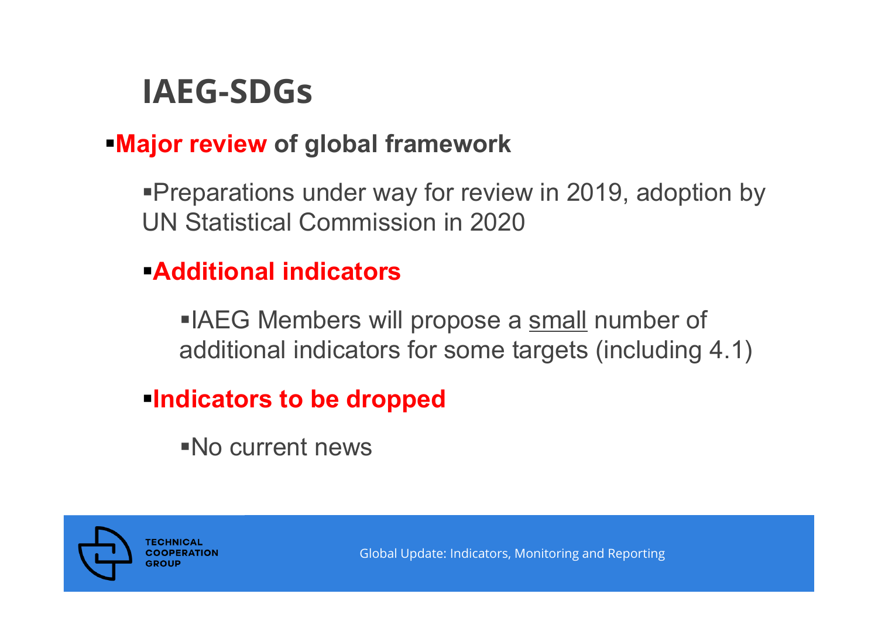### **IAEG-SDGs**

#### **Major review of global framework**

**Preparations under way for review in 2019, adoption by** UN Statistical Commission in 2020

#### **Additional indicators**

**IAEG Members will propose a small number of** additional indicators for some targets (including 4.1)

#### **Indicators to be dropped**

No current news

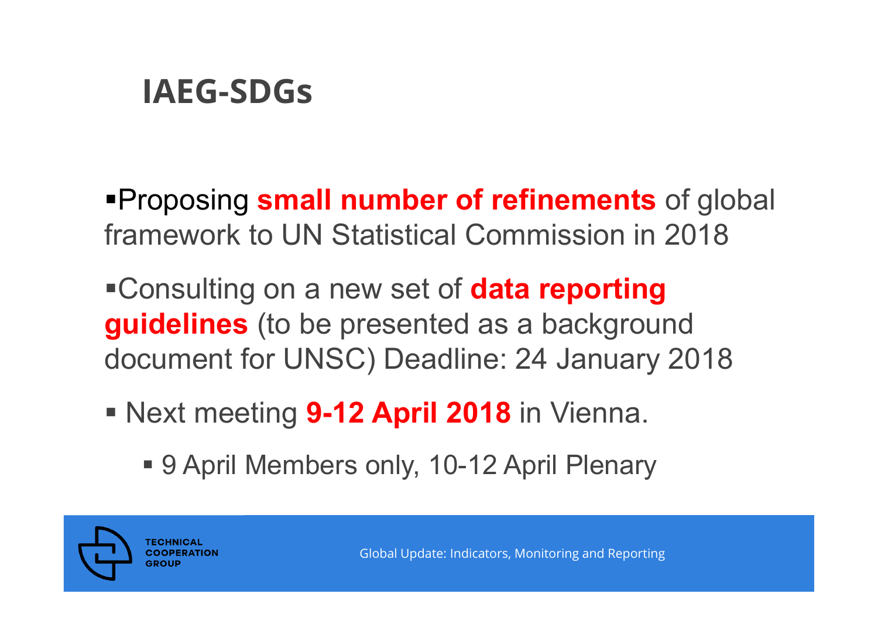### **IAEG-SDGs**

Proposing **small number of refinements** of global framework to UN Statistical Commission in 2018

Consulting on a new set of **data reporting guidelines** (to be presented as a background document for UNSC) Deadline: 24 January 2018

- Next meeting **9-12 April 2018** in Vienna.
	- **9 April Members only, 10-12 April Plenary**

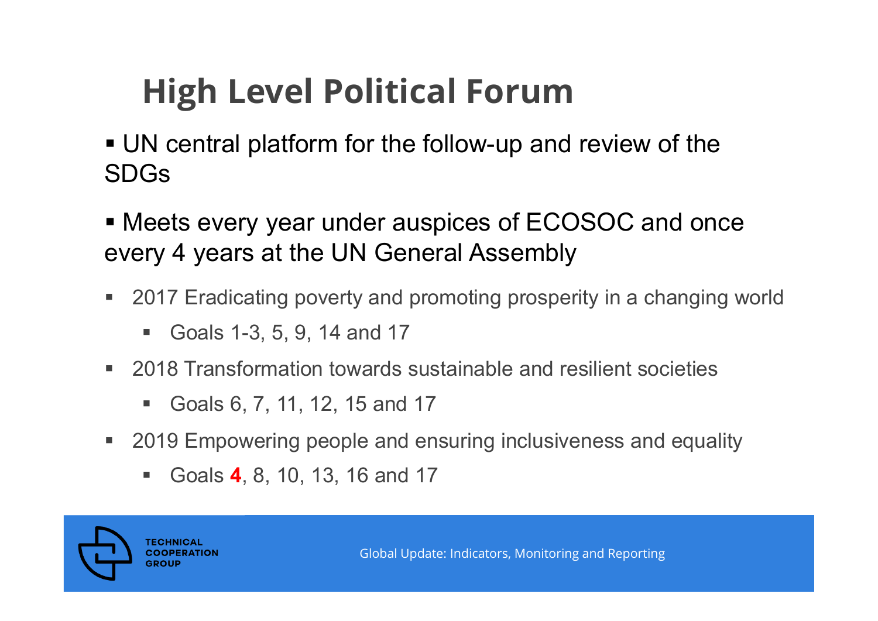# **High Level Political Forum**

- UN central platform for the follow-up and review of the SDGs
- Meets every year under auspices of ECOSOC and once every 4 years at the UN General Assembly
- $\blacksquare$  2017 Eradicating poverty and promoting prosperity in <sup>a</sup> changing world
	- $\blacksquare$ Goals 1-3, 5, 9, 14 and 17
- 2018 Transformation towards sustainable and resilient societies
	- $\blacksquare$ Goals 6, 7, 11, 12, 15 and 17
- 2019 Empowering people and ensuring inclusiveness and equality
	- $\blacksquare$ Goals **4**, 8, 10, 13, 16 and 17

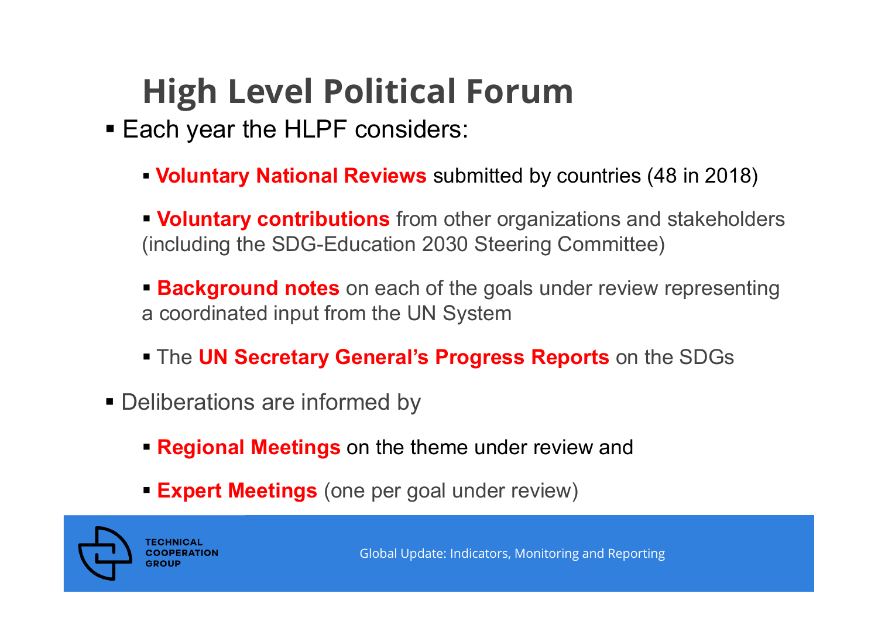# **High Level Political Forum**

- **Each year the HLPF considers:** 
	- **Voluntary National Reviews** submitted by countries (48 in 2018)

**Voluntary contributions** from other organizations and stakeholders (including the SDG-Education 2030 Steering Committee)

**Background notes** on each of the goals under review representing a coordinated input from the UN System

- The **UN Secretary General's Progress Reports** on the SDGs
- **Deliberations are informed by** 
	- **Regional Meetings** on the theme under review and
	- **Expert Meetings** (one per goal under review)

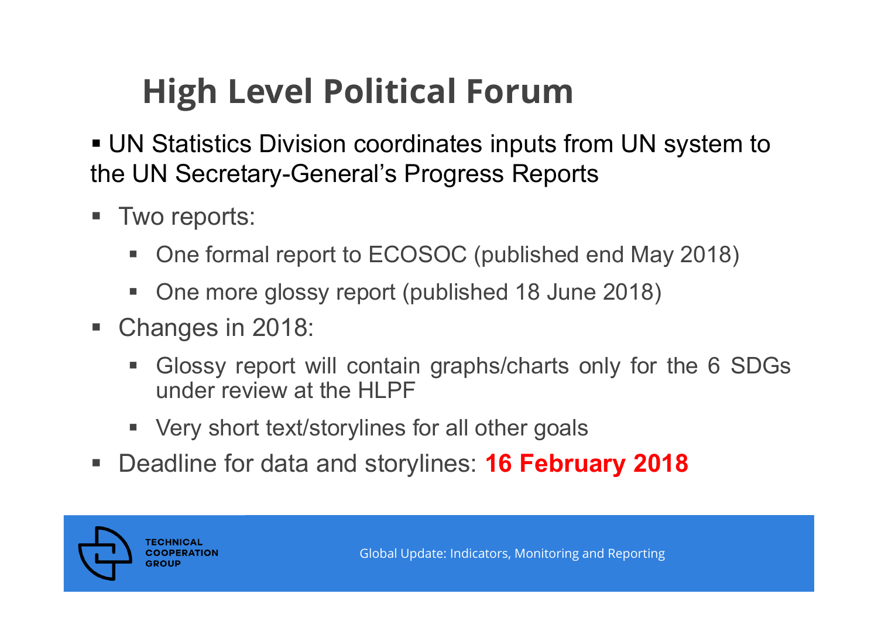## **High Level Political Forum**

- UN Statistics Division coordinates inputs from UN system to the UN Secretary-General's Progress Reports
- I. Two reports:
	- One formal report to ECOSOC (published end May 2018)
	- One more glossy report (published 18 June 2018)
- Changes in 2018:
	- e. Glossy report will contain graphs/charts only for the 6 SDGs under review at the HLPF
	- Very short text/storylines for all other goals
- $\blacksquare$ Deadline for data and storylines: **16 February 2018**

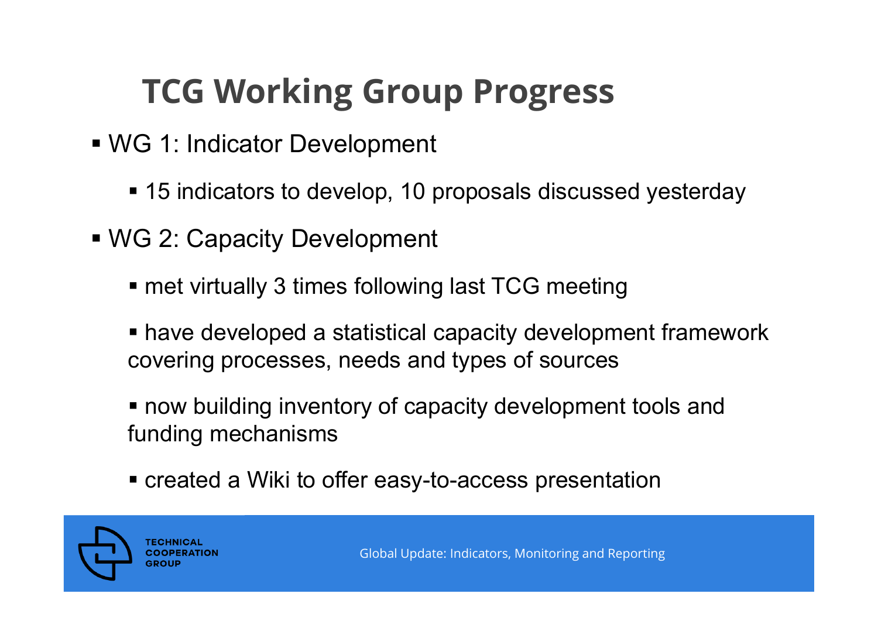## **TCG Working Group Progress**

- WG 1: Indicator Development
	- 15 indicators to develop, 10 proposals discussed yesterday
- WG 2: Capacity Development
	- met virtually 3 times following last TCG meeting
	- have developed a statistical capacity development framework covering processes, needs and types of sources
	- now building inventory of capacity development tools and funding mechanisms
	- created a Wiki to offer easy-to-access presentation

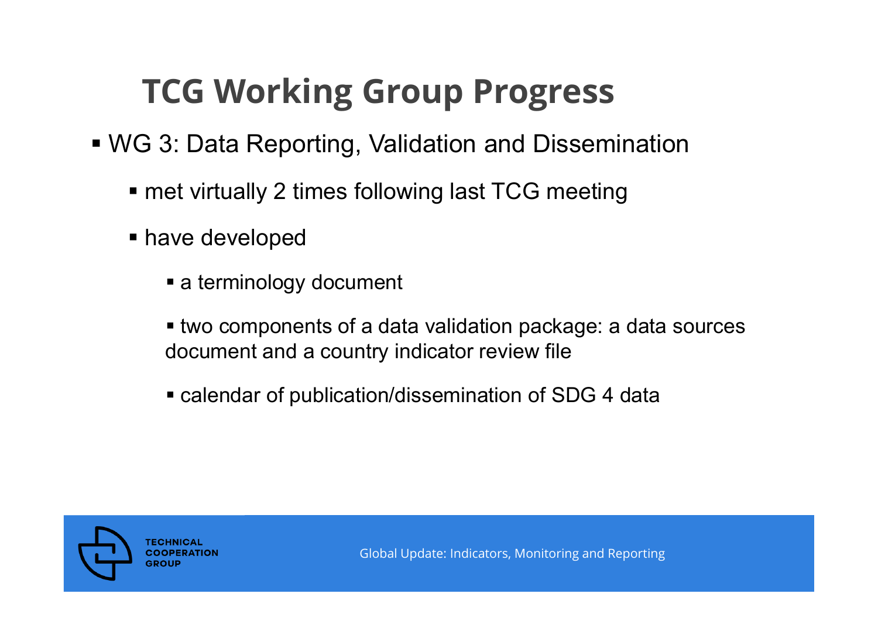## **TCG Working Group Progress**

- WG 3: Data Reporting, Validation and Dissemination
	- met virtually 2 times following last TCG meeting
	- **have developed** 
		- a terminology document
		- two components of a data validation package: a data sources document and a country indicator review file
		- calendar of publication/dissemination of SDG 4 data